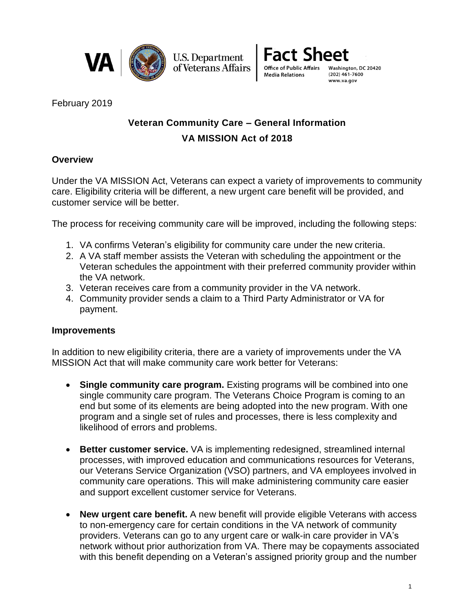



Washington, DC 20420  $(202)$  461-7600 www.va.gov

February 2019

# **Veteran Community Care – General Information VA MISSION Act of 2018**

# **Overview**

Under the VA MISSION Act, Veterans can expect a variety of improvements to community care. Eligibility criteria will be different, a new urgent care benefit will be provided, and customer service will be better.

The process for receiving community care will be improved, including the following steps:

- 1. VA confirms Veteran's eligibility for community care under the new criteria.
- 2. A VA staff member assists the Veteran with scheduling the appointment or the Veteran schedules the appointment with their preferred community provider within the VA network.
- 3. Veteran receives care from a community provider in the VA network.
- 4. Community provider sends a claim to a Third Party Administrator or VA for payment.

#### **Improvements**

In addition to new eligibility criteria, there are a variety of improvements under the VA MISSION Act that will make community care work better for Veterans:

- **Single community care program.** Existing programs will be combined into one single community care program. The Veterans Choice Program is coming to an end but some of its elements are being adopted into the new program. With one program and a single set of rules and processes, there is less complexity and likelihood of errors and problems.
- **Better customer service.** VA is implementing redesigned, streamlined internal processes, with improved education and communications resources for Veterans, our Veterans Service Organization (VSO) partners, and VA employees involved in community care operations. This will make administering community care easier and support excellent customer service for Veterans.
- **New urgent care benefit.** A new benefit will provide eligible Veterans with access to non-emergency care for certain conditions in the VA network of community providers. Veterans can go to any urgent care or walk-in care provider in VA's network without prior authorization from VA. There may be copayments associated with this benefit depending on a Veteran's assigned priority group and the number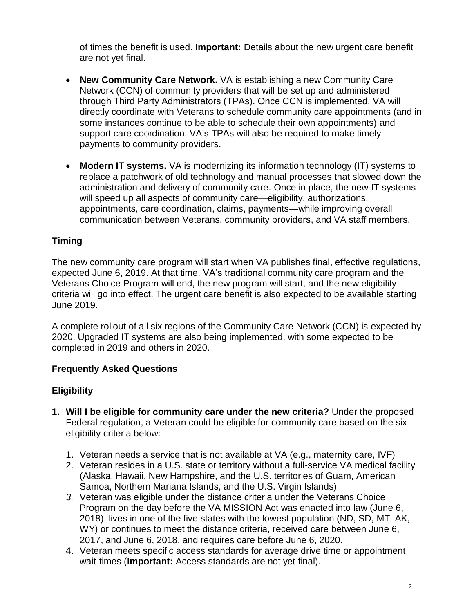of times the benefit is used**. Important:** Details about the new urgent care benefit are not yet final.

- **New Community Care Network.** VA is establishing a new Community Care Network (CCN) of community providers that will be set up and administered through Third Party Administrators (TPAs). Once CCN is implemented, VA will directly coordinate with Veterans to schedule community care appointments (and in some instances continue to be able to schedule their own appointments) and support care coordination. VA's TPAs will also be required to make timely payments to community providers.
- **Modern IT systems.** VA is modernizing its information technology (IT) systems to replace a patchwork of old technology and manual processes that slowed down the administration and delivery of community care. Once in place, the new IT systems will speed up all aspects of community care—eligibility, authorizations, appointments, care coordination, claims, payments—while improving overall communication between Veterans, community providers, and VA staff members.

## **Timing**

The new community care program will start when VA publishes final, effective regulations, expected June 6, 2019. At that time, VA's traditional community care program and the Veterans Choice Program will end, the new program will start, and the new eligibility criteria will go into effect. The urgent care benefit is also expected to be available starting June 2019.

A complete rollout of all six regions of the Community Care Network (CCN) is expected by 2020. Upgraded IT systems are also being implemented, with some expected to be completed in 2019 and others in 2020.

#### **Frequently Asked Questions**

#### **Eligibility**

- **1. Will I be eligible for community care under the new criteria?** Under the proposed Federal regulation, a Veteran could be eligible for community care based on the six eligibility criteria below:
	- 1. Veteran needs a service that is not available at VA (e.g., maternity care, IVF)
	- 2. Veteran resides in a U.S. state or territory without a full-service VA medical facility (Alaska, Hawaii, New Hampshire, and the U.S. territories of Guam, American Samoa, Northern Mariana Islands, and the U.S. Virgin Islands)
	- *3.* Veteran was eligible under the distance criteria under the Veterans Choice Program on the day before the VA MISSION Act was enacted into law (June 6, 2018), lives in one of the five states with the lowest population (ND, SD, MT, AK, WY) or continues to meet the distance criteria, received care between June 6, 2017, and June 6, 2018, and requires care before June 6, 2020.
	- 4. Veteran meets specific access standards for average drive time or appointment wait-times (**Important:** Access standards are not yet final).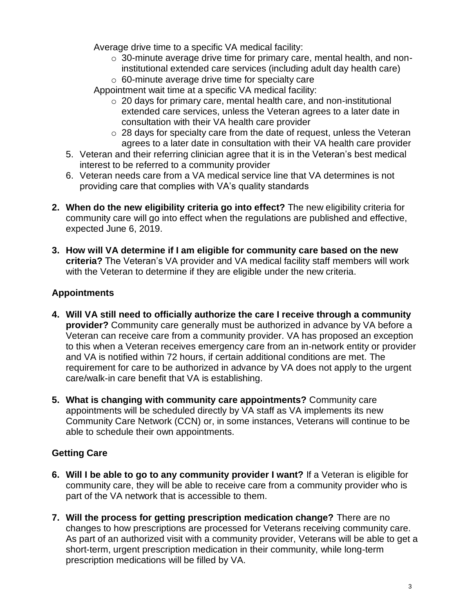Average drive time to a specific VA medical facility:

- o 30-minute average drive time for primary care, mental health, and noninstitutional extended care services (including adult day health care)
- o 60-minute average drive time for specialty care
- Appointment wait time at a specific VA medical facility:
	- o 20 days for primary care, mental health care, and non-institutional extended care services, unless the Veteran agrees to a later date in consultation with their VA health care provider
	- o 28 days for specialty care from the date of request, unless the Veteran agrees to a later date in consultation with their VA health care provider
- 5. Veteran and their referring clinician agree that it is in the Veteran's best medical interest to be referred to a community provider
- 6. Veteran needs care from a VA medical service line that VA determines is not providing care that complies with VA's quality standards
- **2. When do the new eligibility criteria go into effect?** The new eligibility criteria for community care will go into effect when the regulations are published and effective, expected June 6, 2019.
- **3. How will VA determine if I am eligible for community care based on the new criteria?** The Veteran's VA provider and VA medical facility staff members will work with the Veteran to determine if they are eligible under the new criteria.

## **Appointments**

- **4. Will VA still need to officially authorize the care I receive through a community provider?** Community care generally must be authorized in advance by VA before a Veteran can receive care from a community provider. VA has proposed an exception to this when a Veteran receives emergency care from an in-network entity or provider and VA is notified within 72 hours, if certain additional conditions are met. The requirement for care to be authorized in advance by VA does not apply to the urgent care/walk-in care benefit that VA is establishing.
- **5. What is changing with community care appointments?** Community care appointments will be scheduled directly by VA staff as VA implements its new Community Care Network (CCN) or, in some instances, Veterans will continue to be able to schedule their own appointments.

# **Getting Care**

- **6. Will I be able to go to any community provider I want?** If a Veteran is eligible for community care, they will be able to receive care from a community provider who is part of the VA network that is accessible to them.
- **7. Will the process for getting prescription medication change?** There are no changes to how prescriptions are processed for Veterans receiving community care. As part of an authorized visit with a community provider, Veterans will be able to get a short-term, urgent prescription medication in their community, while long-term prescription medications will be filled by VA.